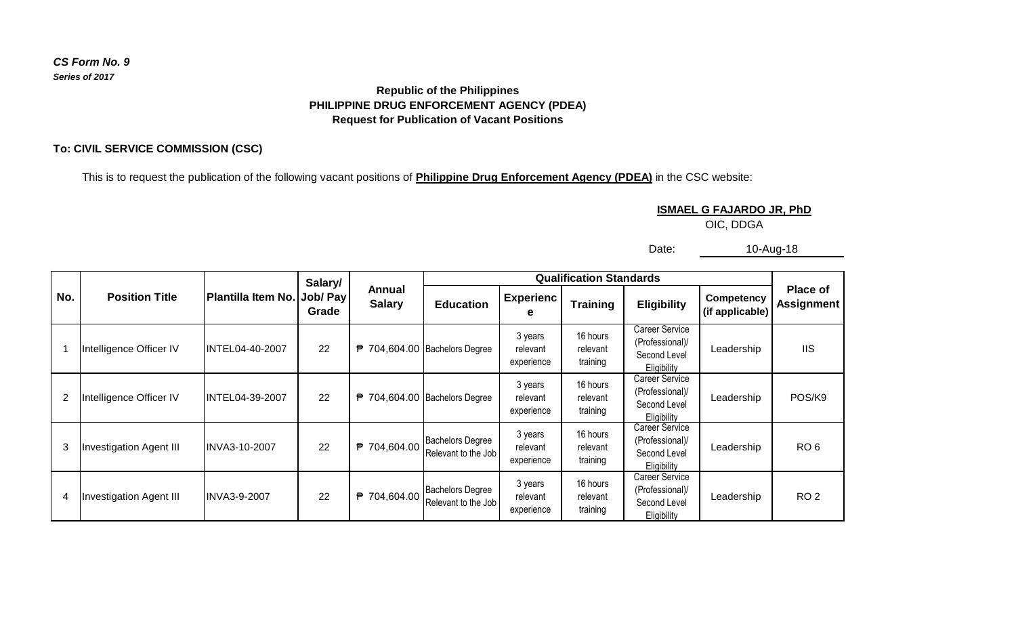## *CS Form No. 9 Series of 2017*

## **Republic of the Philippines PHILIPPINE DRUG ENFORCEMENT AGENCY (PDEA) Request for Publication of Vacant Positions**

## **To: CIVIL SERVICE COMMISSION (CSC)**

This is to request the publication of the following vacant positions of **Philippine Drug Enforcement Agency (PDEA)** in the CSC website:

**ISMAEL G FAJARDO JR, PhD**

OIC, DDGA

Date: 10-Aug-18

|     | <b>Position Title</b>          |                     | Salary/           |                         |                                                |                                   | <b>Qualification Standards</b>   |                                                                         |                               |                                      |
|-----|--------------------------------|---------------------|-------------------|-------------------------|------------------------------------------------|-----------------------------------|----------------------------------|-------------------------------------------------------------------------|-------------------------------|--------------------------------------|
| No. |                                | Plantilla Item No.  | Job/ Pay<br>Grade | Annual<br><b>Salary</b> | <b>Education</b>                               | <b>Experienc</b><br>е             | <b>Training</b>                  | <b>Eligibility</b>                                                      | Competency<br>(if applicable) | <b>Place of</b><br><b>Assignment</b> |
|     | Intelligence Officer IV        | INTEL04-40-2007     | 22                |                         | <sup>2</sup> 704,604.00 Bachelors Degree       | 3 years<br>relevant<br>experience | 16 hours<br>relevant<br>training | Career Service<br>(Professional)/<br>Second Level<br>Eligibility        | Leadership                    | <b>IIS</b>                           |
| 2   | Intelligence Officer IV        | INTEL04-39-2007     | 22                |                         | ₱ 704,604.00 Bachelors Degree                  | 3 years<br>relevant<br>experience | 16 hours<br>relevant<br>training | Career Service<br>(Professional)/<br>Second Level<br><b>Eligibility</b> | Leadership                    | POS/K9                               |
| 3   | <b>Investigation Agent III</b> | IINVA3-10-2007      | 22                | ₱ 704,604.00            | <b>Bachelors Degree</b><br>Relevant to the Job | 3 years<br>relevant<br>experience | 16 hours<br>relevant<br>training | Career Service<br>(Professional)/<br>Second Level<br>Eligibility        | Leadership                    | RO <sub>6</sub>                      |
| 4   | <b>Investigation Agent III</b> | <b>INVA3-9-2007</b> | 22                | ₱ 704,604.00            | <b>Bachelors Degree</b><br>Relevant to the Job | 3 years<br>relevant<br>experience | 16 hours<br>relevant<br>training | Career Service<br>(Professional)/<br>Second Level<br><b>Eligibility</b> | Leadership                    | RO <sub>2</sub>                      |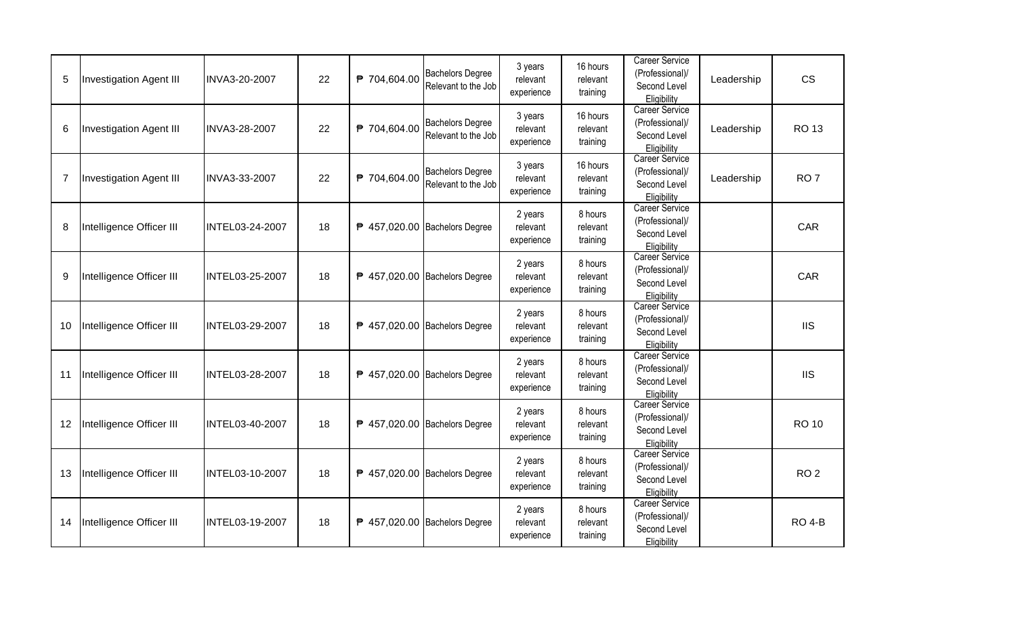| 5  | <b>Investigation Agent III</b> | INVA3-20-2007   | 22 | ₱ 704,604.00 | <b>Bachelors Degree</b><br>Relevant to the Job | 3 years<br>relevant<br>experience | 16 hours<br>relevant<br>training | <b>Career Service</b><br>(Professional)/<br>Second Level<br>Eligibility | Leadership | <b>CS</b>       |
|----|--------------------------------|-----------------|----|--------------|------------------------------------------------|-----------------------------------|----------------------------------|-------------------------------------------------------------------------|------------|-----------------|
| 6  | <b>Investigation Agent III</b> | INVA3-28-2007   | 22 | ₱ 704,604.00 | <b>Bachelors Degree</b><br>Relevant to the Job | 3 years<br>relevant<br>experience | 16 hours<br>relevant<br>training | <b>Career Service</b><br>(Professional)/<br>Second Level<br>Eligibility | Leadership | <b>RO13</b>     |
| 7  | Investigation Agent III        | INVA3-33-2007   | 22 | ₱ 704,604.00 | <b>Bachelors Degree</b><br>Relevant to the Job | 3 years<br>relevant<br>experience | 16 hours<br>relevant<br>training | <b>Career Service</b><br>(Professional)/<br>Second Level<br>Eligibility | Leadership | RO <sub>7</sub> |
| 8  | Intelligence Officer III       | INTEL03-24-2007 | 18 |              | ₱ 457,020.00 Bachelors Degree                  | 2 years<br>relevant<br>experience | 8 hours<br>relevant<br>training  | <b>Career Service</b><br>(Professional)/<br>Second Level<br>Eligibility |            | <b>CAR</b>      |
| 9  | Intelligence Officer III       | INTEL03-25-2007 | 18 |              | ₱ 457,020.00 Bachelors Degree                  | 2 years<br>relevant<br>experience | 8 hours<br>relevant<br>training  | Career Service<br>(Professional)/<br>Second Level<br>Eligibility        |            | <b>CAR</b>      |
| 10 | Intelligence Officer III       | INTEL03-29-2007 | 18 |              | ₱ 457,020.00 Bachelors Degree                  | 2 years<br>relevant<br>experience | 8 hours<br>relevant<br>training  | Career Service<br>(Professional)/<br>Second Level<br>Eligibility        |            | <b>IIS</b>      |
| 11 | Intelligence Officer III       | INTEL03-28-2007 | 18 |              | ₱ 457,020.00 Bachelors Degree                  | 2 years<br>relevant<br>experience | 8 hours<br>relevant<br>training  | <b>Career Service</b><br>(Professional)/<br>Second Level<br>Eligibility |            | <b>IIS</b>      |
| 12 | Intelligence Officer III       | INTEL03-40-2007 | 18 |              | ₱ 457,020.00 Bachelors Degree                  | 2 years<br>relevant<br>experience | 8 hours<br>relevant<br>training  | <b>Career Service</b><br>(Professional)/<br>Second Level<br>Eligibility |            | <b>RO 10</b>    |
| 13 | Intelligence Officer III       | INTEL03-10-2007 | 18 |              | ₱ 457,020.00 Bachelors Degree                  | 2 years<br>relevant<br>experience | 8 hours<br>relevant<br>training  | <b>Career Service</b><br>(Professional)/<br>Second Level<br>Eligibility |            | RO <sub>2</sub> |
| 14 | Intelligence Officer III       | INTEL03-19-2007 | 18 |              | ₱ 457,020.00 Bachelors Degree                  | 2 years<br>relevant<br>experience | 8 hours<br>relevant<br>training  | <b>Career Service</b><br>(Professional)/<br>Second Level<br>Eligibility |            | <b>RO 4-B</b>   |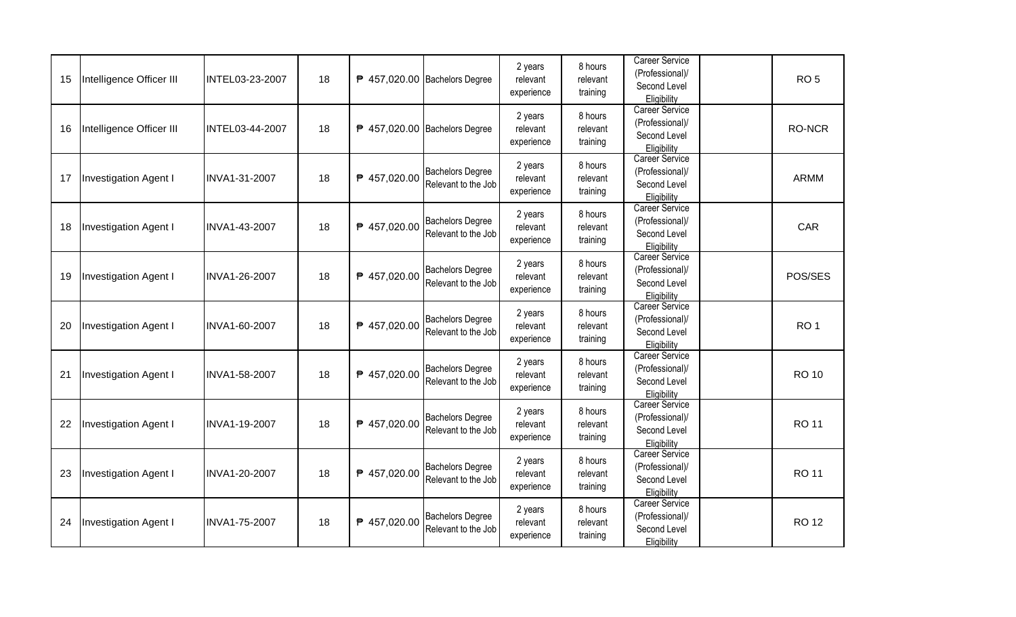| 15 | Intelligence Officer III | INTEL03-23-2007 | 18 |              | ₱ 457,020.00 Bachelors Degree                  | 2 years<br>relevant<br>experience | 8 hours<br>relevant<br>training | <b>Career Service</b><br>(Professional)/<br>Second Level<br>Eligibility | RO <sub>5</sub> |
|----|--------------------------|-----------------|----|--------------|------------------------------------------------|-----------------------------------|---------------------------------|-------------------------------------------------------------------------|-----------------|
| 16 | Intelligence Officer III | INTEL03-44-2007 | 18 |              | ₱ 457,020.00 Bachelors Degree                  | 2 years<br>relevant<br>experience | 8 hours<br>relevant<br>training | <b>Career Service</b><br>(Professional)/<br>Second Level<br>Eligibility | RO-NCR          |
| 17 | Investigation Agent I    | INVA1-31-2007   | 18 | ₱ 457,020.00 | <b>Bachelors Degree</b><br>Relevant to the Job | 2 years<br>relevant<br>experience | 8 hours<br>relevant<br>training | <b>Career Service</b><br>(Professional)/<br>Second Level<br>Eligibility | <b>ARMM</b>     |
| 18 | Investigation Agent I    | INVA1-43-2007   | 18 | ₱ 457,020.00 | <b>Bachelors Degree</b><br>Relevant to the Job | 2 years<br>relevant<br>experience | 8 hours<br>relevant<br>training | Career Service<br>(Professional)/<br>Second Level<br>Eligibility        | CAR             |
| 19 | Investigation Agent I    | INVA1-26-2007   | 18 | ₱ 457,020.00 | <b>Bachelors Degree</b><br>Relevant to the Job | 2 years<br>relevant<br>experience | 8 hours<br>relevant<br>training | <b>Career Service</b><br>(Professional)/<br>Second Level<br>Eligibility | POS/SES         |
| 20 | Investigation Agent I    | INVA1-60-2007   | 18 | ₱ 457,020.00 | <b>Bachelors Degree</b><br>Relevant to the Job | 2 years<br>relevant<br>experience | 8 hours<br>relevant<br>training | <b>Career Service</b><br>(Professional)/<br>Second Level<br>Eligibility | RO <sub>1</sub> |
| 21 | Investigation Agent I    | INVA1-58-2007   | 18 | ₱ 457,020.00 | <b>Bachelors Degree</b><br>Relevant to the Job | 2 years<br>relevant<br>experience | 8 hours<br>relevant<br>training | <b>Career Service</b><br>(Professional)/<br>Second Level<br>Eligibility | <b>RO 10</b>    |
| 22 | Investigation Agent I    | INVA1-19-2007   | 18 | ₱ 457,020.00 | <b>Bachelors Degree</b><br>Relevant to the Job | 2 years<br>relevant<br>experience | 8 hours<br>relevant<br>training | Career Service<br>(Professional)/<br>Second Level<br>Eligibility        | <b>RO 11</b>    |
| 23 | Investigation Agent I    | INVA1-20-2007   | 18 | ₱ 457,020.00 | <b>Bachelors Degree</b><br>Relevant to the Job | 2 years<br>relevant<br>experience | 8 hours<br>relevant<br>training | <b>Career Service</b><br>(Professional)/<br>Second Level<br>Eligibility | <b>RO 11</b>    |
| 24 | Investigation Agent I    | INVA1-75-2007   | 18 | ₱ 457,020.00 | <b>Bachelors Degree</b><br>Relevant to the Job | 2 years<br>relevant<br>experience | 8 hours<br>relevant<br>training | <b>Career Service</b><br>(Professional)/<br>Second Level<br>Eligibility | <b>RO12</b>     |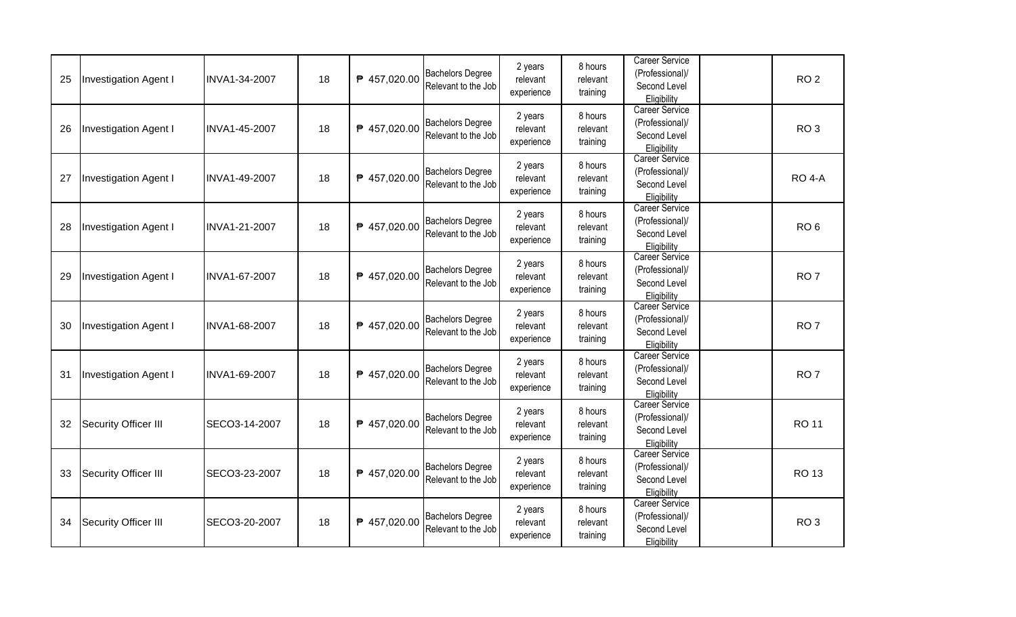| 25 | Investigation Agent I | INVA1-34-2007 | 18 | ₱ 457,020.00 | <b>Bachelors Degree</b><br>Relevant to the Job | 2 years<br>relevant<br>experience | 8 hours<br>relevant<br>training | <b>Career Service</b><br>(Professional)/<br>Second Level<br>Eligibility | RO <sub>2</sub> |
|----|-----------------------|---------------|----|--------------|------------------------------------------------|-----------------------------------|---------------------------------|-------------------------------------------------------------------------|-----------------|
| 26 | Investigation Agent I | INVA1-45-2007 | 18 | ₱ 457,020.00 | <b>Bachelors Degree</b><br>Relevant to the Job | 2 years<br>relevant<br>experience | 8 hours<br>relevant<br>training | <b>Career Service</b><br>(Professional)/<br>Second Level<br>Eligibility | RO <sub>3</sub> |
| 27 | Investigation Agent I | INVA1-49-2007 | 18 | ₱ 457,020.00 | <b>Bachelors Degree</b><br>Relevant to the Job | 2 years<br>relevant<br>experience | 8 hours<br>relevant<br>training | <b>Career Service</b><br>(Professional)/<br>Second Level<br>Eligibility | <b>RO 4-A</b>   |
| 28 | Investigation Agent I | INVA1-21-2007 | 18 | ₱ 457,020.00 | <b>Bachelors Degree</b><br>Relevant to the Job | 2 years<br>relevant<br>experience | 8 hours<br>relevant<br>training | Career Service<br>(Professional)/<br>Second Level<br>Eligibility        | RO <sub>6</sub> |
| 29 | Investigation Agent I | INVA1-67-2007 | 18 | ₱ 457,020.00 | <b>Bachelors Degree</b><br>Relevant to the Job | 2 years<br>relevant<br>experience | 8 hours<br>relevant<br>training | <b>Career Service</b><br>(Professional)/<br>Second Level<br>Eligibility | RO <sub>7</sub> |
| 30 | Investigation Agent I | INVA1-68-2007 | 18 | ₱ 457,020.00 | <b>Bachelors Degree</b><br>Relevant to the Job | 2 years<br>relevant<br>experience | 8 hours<br>relevant<br>training | <b>Career Service</b><br>(Professional)/<br>Second Level<br>Eligibility | RO <sub>7</sub> |
| 31 | Investigation Agent I | INVA1-69-2007 | 18 | ₱ 457,020.00 | <b>Bachelors Degree</b><br>Relevant to the Job | 2 years<br>relevant<br>experience | 8 hours<br>relevant<br>training | <b>Career Service</b><br>(Professional)/<br>Second Level<br>Eligibility | RO <sub>7</sub> |
| 32 | Security Officer III  | SECO3-14-2007 | 18 | ₱ 457,020.00 | <b>Bachelors Degree</b><br>Relevant to the Job | 2 years<br>relevant<br>experience | 8 hours<br>relevant<br>training | Career Service<br>(Professional)/<br>Second Level<br>Eligibility        | <b>RO 11</b>    |
| 33 | Security Officer III  | SECO3-23-2007 | 18 | ₱ 457,020.00 | <b>Bachelors Degree</b><br>Relevant to the Job | 2 years<br>relevant<br>experience | 8 hours<br>relevant<br>training | <b>Career Service</b><br>(Professional)/<br>Second Level<br>Eligibility | <b>RO13</b>     |
| 34 | Security Officer III  | SECO3-20-2007 | 18 | ₱ 457,020.00 | <b>Bachelors Degree</b><br>Relevant to the Job | 2 years<br>relevant<br>experience | 8 hours<br>relevant<br>training | <b>Career Service</b><br>(Professional)/<br>Second Level<br>Eligibility | RO <sub>3</sub> |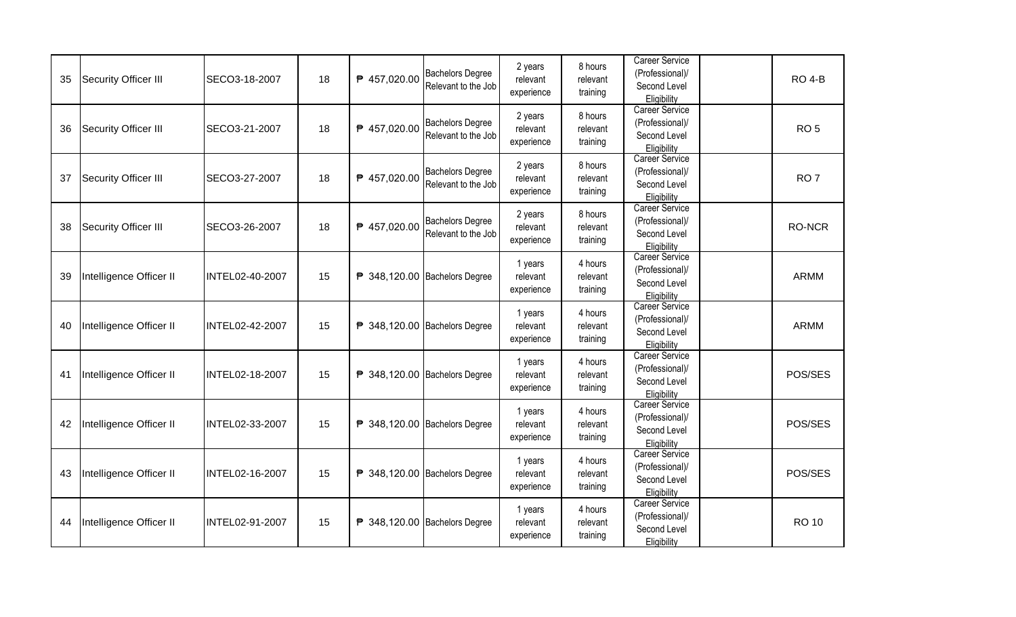| 35 | Security Officer III    | SECO3-18-2007   | 18 | ₱ 457,020.00 | <b>Bachelors Degree</b><br>Relevant to the Job | 2 years<br>relevant<br>experience | 8 hours<br>relevant<br>training | <b>Career Service</b><br>(Professional)/<br>Second Level<br>Eligibility | <b>RO 4-B</b>   |
|----|-------------------------|-----------------|----|--------------|------------------------------------------------|-----------------------------------|---------------------------------|-------------------------------------------------------------------------|-----------------|
| 36 | Security Officer III    | SECO3-21-2007   | 18 | ₱ 457,020.00 | <b>Bachelors Degree</b><br>Relevant to the Job | 2 years<br>relevant<br>experience | 8 hours<br>relevant<br>training | <b>Career Service</b><br>(Professional)/<br>Second Level<br>Eligibility | RO <sub>5</sub> |
| 37 | Security Officer III    | SECO3-27-2007   | 18 | ₱ 457,020.00 | <b>Bachelors Degree</b><br>Relevant to the Job | 2 years<br>relevant<br>experience | 8 hours<br>relevant<br>training | <b>Career Service</b><br>(Professional)/<br>Second Level<br>Eligibility | RO <sub>7</sub> |
| 38 | Security Officer III    | SECO3-26-2007   | 18 | ₱ 457,020.00 | <b>Bachelors Degree</b><br>Relevant to the Job | 2 years<br>relevant<br>experience | 8 hours<br>relevant<br>training | Career Service<br>(Professional)/<br>Second Level<br>Eligibility        | <b>RO-NCR</b>   |
| 39 | Intelligence Officer II | INTEL02-40-2007 | 15 |              | ₱ 348,120.00 Bachelors Degree                  | 1 years<br>relevant<br>experience | 4 hours<br>relevant<br>training | <b>Career Service</b><br>(Professional)/<br>Second Level<br>Eligibility | <b>ARMM</b>     |
| 40 | Intelligence Officer II | INTEL02-42-2007 | 15 |              | ₱ 348,120.00 Bachelors Degree                  | 1 years<br>relevant<br>experience | 4 hours<br>relevant<br>training | <b>Career Service</b><br>(Professional)/<br>Second Level<br>Eligibility | <b>ARMM</b>     |
| 41 | Intelligence Officer II | INTEL02-18-2007 | 15 |              | ₱ 348,120.00 Bachelors Degree                  | 1 years<br>relevant<br>experience | 4 hours<br>relevant<br>training | <b>Career Service</b><br>(Professional)/<br>Second Level<br>Eligibility | POS/SES         |
| 42 | Intelligence Officer II | INTEL02-33-2007 | 15 |              | ₱ 348,120.00 Bachelors Degree                  | 1 years<br>relevant<br>experience | 4 hours<br>relevant<br>training | Career Service<br>(Professional)/<br>Second Level<br>Eligibility        | POS/SES         |
| 43 | Intelligence Officer II | INTEL02-16-2007 | 15 |              | ₱ 348,120.00 Bachelors Degree                  | 1 years<br>relevant<br>experience | 4 hours<br>relevant<br>training | <b>Career Service</b><br>(Professional)/<br>Second Level<br>Eligibility | POS/SES         |
| 44 | Intelligence Officer II | INTEL02-91-2007 | 15 |              | ₱ 348,120.00 Bachelors Degree                  | 1 years<br>relevant<br>experience | 4 hours<br>relevant<br>training | <b>Career Service</b><br>(Professional)/<br>Second Level<br>Eligibility | <b>RO 10</b>    |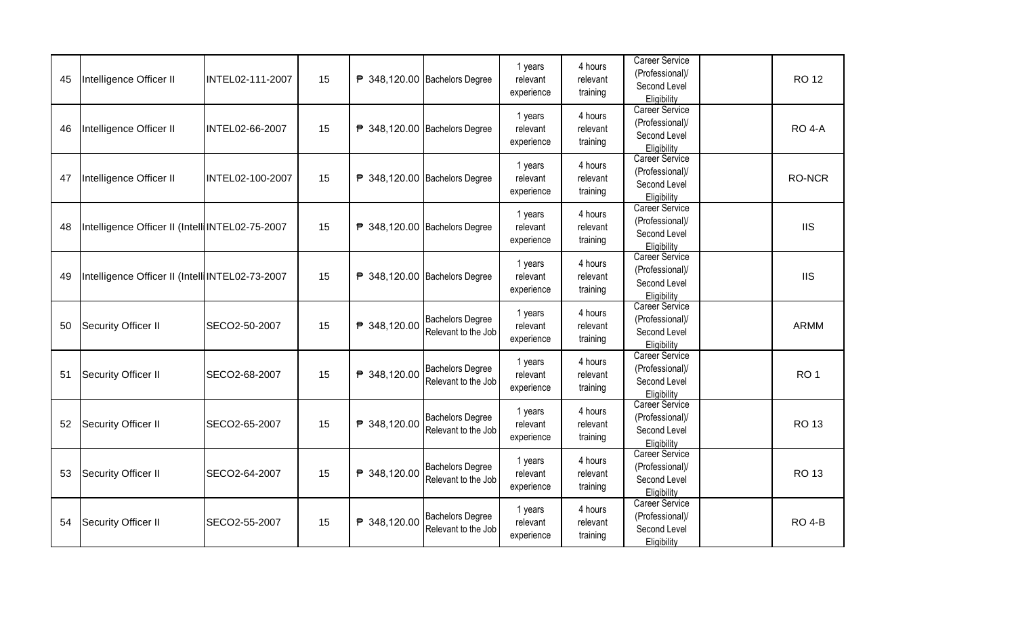| 45 | Intelligence Officer II                         | INTEL02-111-2007 | 15 |              | ₱ 348,120.00 Bachelors Degree                  | 1 years<br>relevant<br>experience | 4 hours<br>relevant<br>training | <b>Career Service</b><br>(Professional)/<br>Second Level<br>Eligibility | <b>RO12</b>     |
|----|-------------------------------------------------|------------------|----|--------------|------------------------------------------------|-----------------------------------|---------------------------------|-------------------------------------------------------------------------|-----------------|
| 46 | Intelligence Officer II                         | INTEL02-66-2007  | 15 |              | ₱ 348,120.00 Bachelors Degree                  | 1 years<br>relevant<br>experience | 4 hours<br>relevant<br>training | <b>Career Service</b><br>(Professional)/<br>Second Level<br>Eligibility | <b>RO 4-A</b>   |
| 47 | Intelligence Officer II                         | INTEL02-100-2007 | 15 |              | ₱ 348,120.00 Bachelors Degree                  | 1 years<br>relevant<br>experience | 4 hours<br>relevant<br>training | Career Service<br>(Professional)/<br>Second Level<br>Eligibility        | <b>RO-NCR</b>   |
| 48 | Intelligence Officer II (Intell INTEL02-75-2007 |                  | 15 |              | ₱ 348,120.00 Bachelors Degree                  | 1 years<br>relevant<br>experience | 4 hours<br>relevant<br>training | <b>Career Service</b><br>(Professional)/<br>Second Level<br>Eligibility | <b>IIS</b>      |
| 49 | Intelligence Officer II (Intell INTEL02-73-2007 |                  | 15 |              | ₱ 348,120.00 Bachelors Degree                  | 1 years<br>relevant<br>experience | 4 hours<br>relevant<br>training | Career Service<br>(Professional)/<br>Second Level<br>Eligibility        | <b>IIS</b>      |
| 50 | Security Officer II                             | SECO2-50-2007    | 15 | ₱ 348,120.00 | <b>Bachelors Degree</b><br>Relevant to the Job | 1 years<br>relevant<br>experience | 4 hours<br>relevant<br>training | <b>Career Service</b><br>(Professional)/<br>Second Level<br>Eligibility | <b>ARMM</b>     |
| 51 | Security Officer II                             | SECO2-68-2007    | 15 | ₱ 348,120.00 | <b>Bachelors Degree</b><br>Relevant to the Job | 1 years<br>relevant<br>experience | 4 hours<br>relevant<br>training | <b>Career Service</b><br>(Professional)/<br>Second Level<br>Eligibility | RO <sub>1</sub> |
| 52 | Security Officer II                             | SECO2-65-2007    | 15 | ₱ 348,120.00 | <b>Bachelors Degree</b><br>Relevant to the Job | 1 years<br>relevant<br>experience | 4 hours<br>relevant<br>training | <b>Career Service</b><br>(Professional)/<br>Second Level<br>Eligibility | <b>RO13</b>     |
| 53 | Security Officer II                             | SECO2-64-2007    | 15 | ₱ 348,120.00 | <b>Bachelors Degree</b><br>Relevant to the Job | 1 years<br>relevant<br>experience | 4 hours<br>relevant<br>training | <b>Career Service</b><br>(Professional)/<br>Second Level<br>Eligibility | <b>RO13</b>     |
| 54 | Security Officer II                             | SECO2-55-2007    | 15 | ₱ 348,120.00 | <b>Bachelors Degree</b><br>Relevant to the Job | 1 years<br>relevant<br>experience | 4 hours<br>relevant<br>training | <b>Career Service</b><br>(Professional)/<br>Second Level<br>Eligibility | <b>RO 4-B</b>   |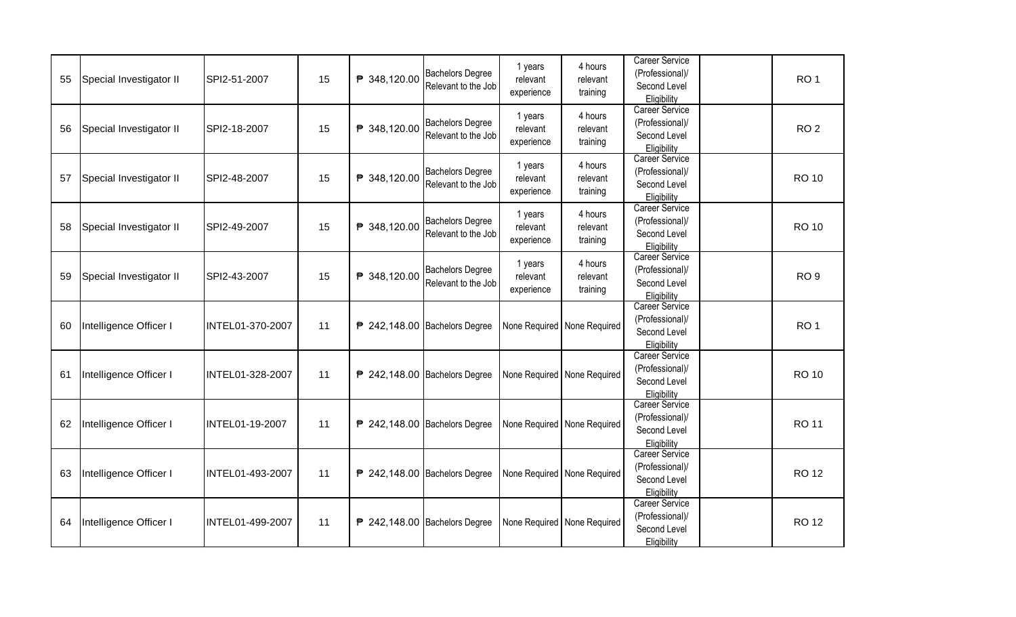| 55 | Special Investigator II | SPI2-51-2007           | 15 | ₱ 348,120.00 | <b>Bachelors Degree</b>                  | 1 years<br>relevant    | 4 hours<br>relevant           | <b>Career Service</b><br>(Professional)/ | RO <sub>1</sub> |
|----|-------------------------|------------------------|----|--------------|------------------------------------------|------------------------|-------------------------------|------------------------------------------|-----------------|
|    |                         |                        |    |              | Relevant to the Job                      | experience             | training                      | Second Level<br>Eligibility              |                 |
|    |                         |                        |    |              | <b>Bachelors Degree</b>                  | 1 years                | 4 hours                       | <b>Career Service</b><br>(Professional)/ |                 |
| 56 | Special Investigator II | SPI2-18-2007           | 15 | ₱ 348,120.00 | Relevant to the Job                      | relevant<br>experience | relevant<br>training          | Second Level                             | RO <sub>2</sub> |
|    |                         |                        |    |              |                                          |                        |                               | Eligibility<br><b>Career Service</b>     |                 |
| 57 | Special Investigator II | SPI2-48-2007           | 15 | ₱ 348,120.00 | <b>Bachelors Degree</b>                  | 1 years<br>relevant    | 4 hours<br>relevant           | (Professional)/                          | <b>RO 10</b>    |
|    |                         |                        |    |              | Relevant to the Job                      | experience             | training                      | Second Level<br>Eligibility              |                 |
|    |                         |                        |    |              | <b>Bachelors Degree</b>                  | 1 years                | 4 hours                       | <b>Career Service</b><br>(Professional)/ |                 |
| 58 | Special Investigator II | SPI2-49-2007           | 15 | ₱ 348,120.00 | Relevant to the Job                      | relevant               | relevant                      | Second Level                             | <b>RO 10</b>    |
|    |                         |                        |    |              |                                          | experience             | training                      | Eligibility<br><b>Career Service</b>     |                 |
|    |                         |                        |    |              | <b>Bachelors Degree</b>                  | 1 years                | 4 hours                       | (Professional)/                          |                 |
| 59 | Special Investigator II | SPI2-43-2007           | 15 | ₱ 348,120.00 | Relevant to the Job                      | relevant<br>experience | relevant<br>training          | Second Level                             | RO <sub>9</sub> |
|    |                         |                        |    |              |                                          |                        |                               | Eligibility<br>Career Service            |                 |
| 60 | Intelligence Officer I  | INTEL01-370-2007       | 11 |              | <sup>2</sup> 242,148.00 Bachelors Degree |                        | None Required   None Required | (Professional)/                          | RO <sub>1</sub> |
|    |                         |                        |    |              |                                          |                        |                               | Second Level<br>Eligibility              |                 |
|    |                         |                        |    |              |                                          |                        |                               | <b>Career Service</b>                    |                 |
| 61 | Intelligence Officer I  | INTEL01-328-2007       | 11 |              | ₱ 242,148.00 Bachelors Degree            |                        | None Required   None Required | (Professional)/<br>Second Level          | <b>RO 10</b>    |
|    |                         |                        |    |              |                                          |                        |                               | Eligibility                              |                 |
|    |                         |                        |    |              |                                          |                        |                               | <b>Career Service</b>                    |                 |
| 62 | Intelligence Officer I  | <b>INTEL01-19-2007</b> | 11 |              | ₱ 242,148.00 Bachelors Degree            |                        | None Required None Required   | (Professional)/<br>Second Level          | <b>RO 11</b>    |
|    |                         |                        |    |              |                                          |                        |                               | Eligibility                              |                 |
|    |                         |                        |    |              |                                          |                        |                               | <b>Career Service</b>                    |                 |
| 63 | Intelligence Officer I  | INTEL01-493-2007       | 11 |              | ₱ 242,148.00 Bachelors Degree            |                        | None Required   None Required | (Professional)/<br>Second Level          | <b>RO 12</b>    |
|    |                         |                        |    |              |                                          |                        |                               | Eligibility                              |                 |
|    |                         |                        |    |              |                                          |                        |                               | <b>Career Service</b><br>(Professional)/ |                 |
| 64 | Intelligence Officer I  | INTEL01-499-2007       | 11 |              | <sup>2</sup> 242,148.00 Bachelors Degree |                        | None Required None Required   | Second Level                             | <b>RO 12</b>    |
|    |                         |                        |    |              |                                          |                        |                               | Eligibility                              |                 |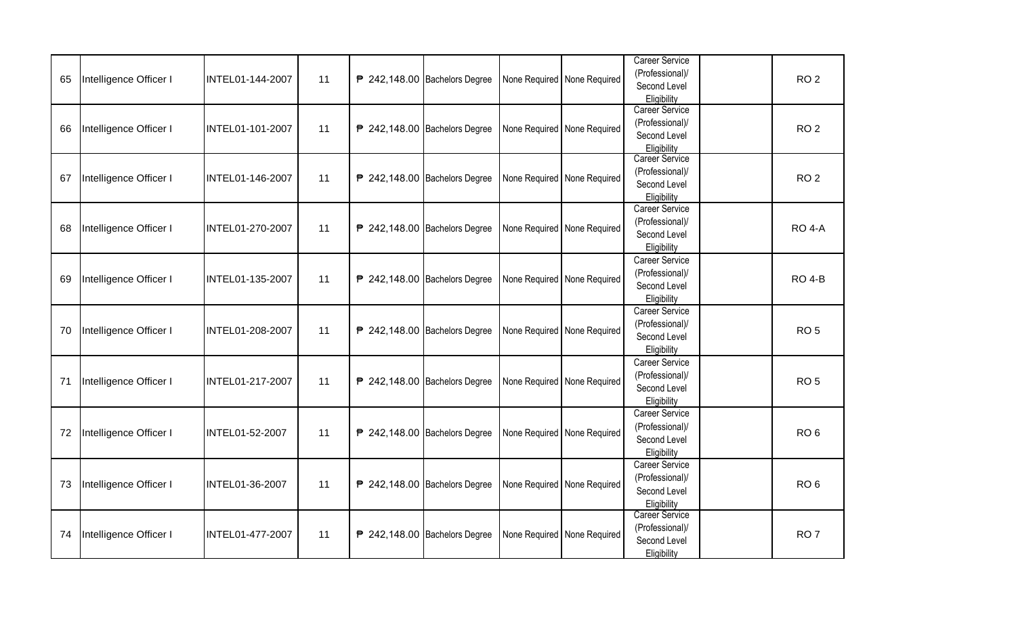| 65 | Intelligence Officer I | INTEL01-144-2007 | 11 | <sup>2</sup> 242,148.00 Bachelors Degree | None Required   None Required | <b>Career Service</b><br>(Professional)/<br>Second Level<br>Eligibility | RO <sub>2</sub> |
|----|------------------------|------------------|----|------------------------------------------|-------------------------------|-------------------------------------------------------------------------|-----------------|
| 66 | Intelligence Officer I | INTEL01-101-2007 | 11 | <sup>2</sup> 242,148.00 Bachelors Degree | None Required None Required   | Career Service<br>(Professional)/<br>Second Level<br>Eligibility        | RO <sub>2</sub> |
| 67 | Intelligence Officer I | INTEL01-146-2007 | 11 | <sup>2</sup> 242,148.00 Bachelors Degree | None Required   None Required | <b>Career Service</b><br>(Professional)/<br>Second Level<br>Eligibility | RO <sub>2</sub> |
| 68 | Intelligence Officer I | INTEL01-270-2007 | 11 | <sup>2</sup> 242,148.00 Bachelors Degree | None Required None Required   | Career Service<br>(Professional)/<br>Second Level<br>Eligibility        | <b>RO 4-A</b>   |
| 69 | Intelligence Officer I | INTEL01-135-2007 | 11 | <sup>2</sup> 242,148.00 Bachelors Degree | None Required   None Required | Career Service<br>(Professional)/<br>Second Level<br>Eligibility        | <b>RO 4-B</b>   |
| 70 | Intelligence Officer I | INTEL01-208-2007 | 11 | <sup>242</sup> ,148.00 Bachelors Degree  | None Required None Required   | Career Service<br>(Professional)/<br>Second Level<br>Eligibility        | RO <sub>5</sub> |
| 71 | Intelligence Officer I | INTEL01-217-2007 | 11 | <sup>242</sup> ,148.00 Bachelors Degree  | None Required None Required   | Career Service<br>(Professional)/<br>Second Level<br>Eligibility        | RO <sub>5</sub> |
| 72 | Intelligence Officer I | INTEL01-52-2007  | 11 | <sup>242</sup> ,148.00 Bachelors Degree  | None Required   None Required | Career Service<br>(Professional)/<br>Second Level<br>Eligibility        | RO <sub>6</sub> |
| 73 | Intelligence Officer I | INTEL01-36-2007  | 11 | <sup>2</sup> 242,148.00 Bachelors Degree | None Required None Required   | Career Service<br>(Professional)/<br>Second Level<br>Eligibility        | RO <sub>6</sub> |
| 74 | Intelligence Officer I | INTEL01-477-2007 | 11 | <sup>242,148.00</sup> Bachelors Degree   | None Required None Required   | <b>Career Service</b><br>(Professional)/<br>Second Level<br>Eligibility | RO <sub>7</sub> |